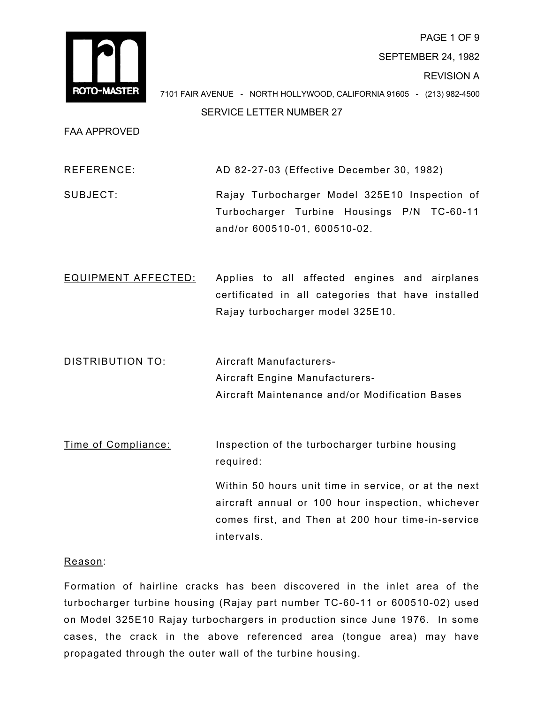

PAGE 1 OF 9 SEPTEMBER 24, 1982 REVISION A 7101 FAIR AVENUE - NORTH HOLLYWOOD, CALIFORNIA 91605 - (213) 982-4500

SERVICE LETTER NUMBER 27

FAA APPROVED

REFERENCE: AD 82-27-03 (Effective December 30, 1982)

SUBJECT: Rajay Turbocharger Model 325E10 Inspection of Turbocharger Turbine Housings P/N TC-60-11 and/or 600510-01, 600510-02.

EQUIPMENT AFFECTED: Applies to all affected engines and airplanes certificated in all categories that have installed Rajay turbocharger model 325E10.

DISTRIBUTION TO: Aircraft Manufacturers-Aircraft Engine Manufacturers-Aircraft Maintenance and/or Modification Bases

Time of Compliance: Inspection of the turbocharger turbine housing required:

> Within 50 hours unit time in service, or at the next aircraft annual or 100 hour inspection, whichever comes first, and Then at 200 hour time-in-service intervals.

# Reason:

Formation of hairline cracks has been discovered in the inlet area of the turbocharger turbine housing (Rajay part number TC-60-11 or 600510-02) used on Model 325E10 Rajay turbochargers in production since June 1976. In some cases, the crack in the above referenced area (tongue area) may have propagated through the outer wall of the turbine housing.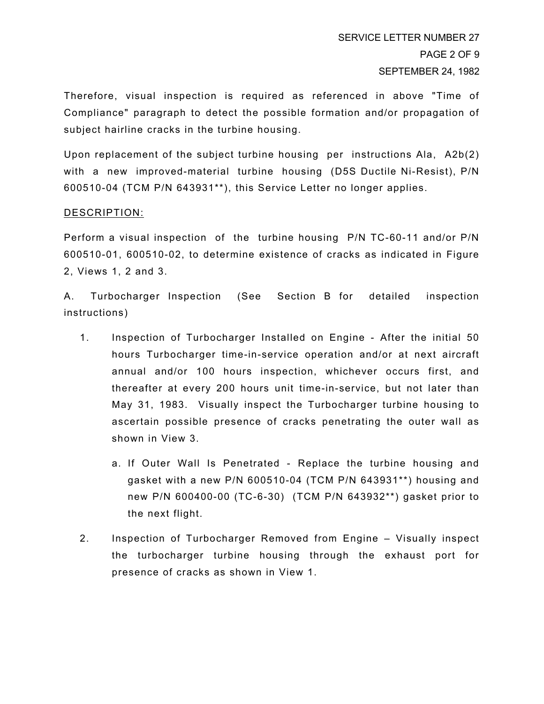Therefore, visual inspection is required as referenced in above "Time of Compliance" paragraph to detect the possible formation and/or propagation of subject hairline cracks in the turbine housing.

Upon replacement of the subject turbine housing per instructions Ala, A2b(2) with a new improved-material turbine housing (D5S Ductile Ni-Resist), P/N 600510-04 (TCM P/N 643931\*\*), this Service Letter no longer applies.

## DESCRIPTION:

Perform a visual inspection of the turbine housing P/N TC-60-11 and/or P/N 600510-01, 600510-02, to determine existence of cracks as indicated in Figure 2, Views 1, 2 and 3.

A. Turbocharger Inspection (See Section B for detailed inspection instructions)

- 1. Inspection of Turbocharger Installed on Engine After the initial 50 hours Turbocharger time-in-service operation and/or at next aircraft annual and/or 100 hours inspection, whichever occurs first, and thereafter at every 200 hours unit time-in-service, but not later than May 31, 1983. Visually inspect the Turbocharger turbine housing to ascertain possible presence of cracks penetrating the outer wall as shown in View 3.
	- a. If Outer Wall Is Penetrated Replace the turbine housing and gasket with a new P/N 600510-04 (TCM P/N 643931\*\*) housing and new P/N 600400-00 (TC-6-30) (TCM P/N 643932\*\*) gasket prior to the next flight.
- 2. Inspection of Turbocharger Removed from Engine Visually inspect the turbocharger turbine housing through the exhaust port for presence of cracks as shown in View 1.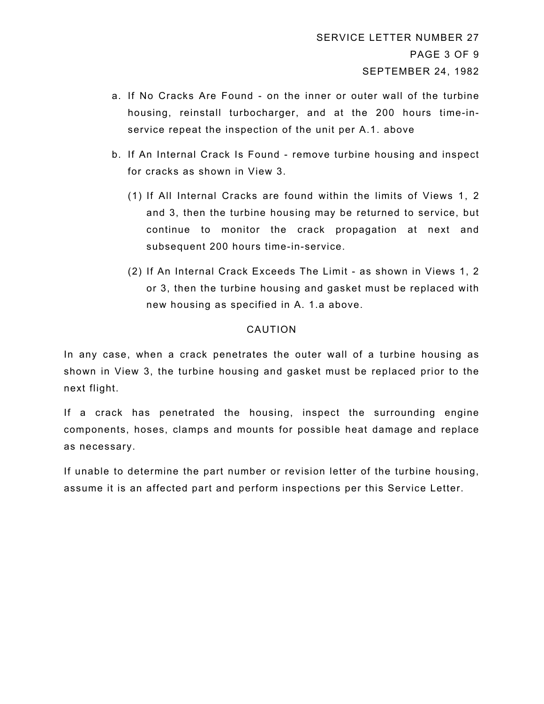- a. If No Cracks Are Found on the inner or outer wall of the turbine housing, reinstall turbocharger, and at the 200 hours time-inservice repeat the inspection of the unit per A.1. above
- b. If An Internal Crack Is Found remove turbine housing and inspect for cracks as shown in View 3.
	- (1) If All Internal Cracks are found within the limits of Views 1, 2 and 3, then the turbine housing may be returned to service, but continue to monitor the crack propagation at next and subsequent 200 hours time-in-service.
	- (2) If An Internal Crack Exceeds The Limit as shown in Views 1, 2 or 3, then the turbine housing and gasket must be replaced with new housing as specified in A. 1.a above.

# CAUTION

In any case, when a crack penetrates the outer wall of a turbine housing as shown in View 3, the turbine housing and gasket must be replaced prior to the next flight.

If a crack has penetrated the housing, inspect the surrounding engine components, hoses, clamps and mounts for possible heat damage and replace as necessary.

If unable to determine the part number or revision letter of the turbine housing, assume it is an affected part and perform inspections per this Service Letter.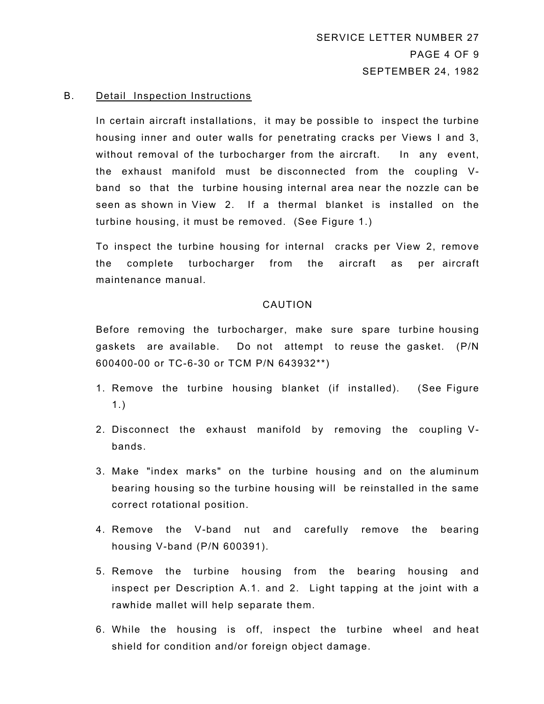### B. Detail Inspection Instructions

In certain aircraft installations, it may be possible to inspect the turbine housing inner and outer walls for penetrating cracks per Views I and 3, without removal of the turbocharger from the aircraft. In any event, the exhaust manifold must be disconnected from the coupling Vband so that the turbine housing internal area near the nozzle can be seen as shown in View 2. If a thermal blanket is installed on the turbine housing, it must be removed. (See Figure 1.)

To inspect the turbine housing for internal cracks per View 2, remove the complete turbocharger from the aircraft as per aircraft maintenance manual.

### CAUTION

Before removing the turbocharger, make sure spare turbine housing gaskets are available. Do not attempt to reuse the gasket. (P/N 600400-00 or TC-6-30 or TCM P/N 643932\*\*)

- 1. Remove the turbine housing blanket (if installed). (See Figure 1.)
- 2. Disconnect the exhaust manifold by removing the coupling Vbands.
- 3. Make "index marks" on the turbine housing and on the aluminum bearing housing so the turbine housing will be reinstalled in the same correct rotational position.
- 4. Remove the V-band nut and carefully remove the bearing housing V-band (P/N 600391).
- 5. Remove the turbine housing from the bearing housing and inspect per Description A.1. and 2. Light tapping at the joint with a rawhide mallet will help separate them.
- 6. While the housing is off, inspect the turbine wheel and heat shield for condition and/or foreign object damage.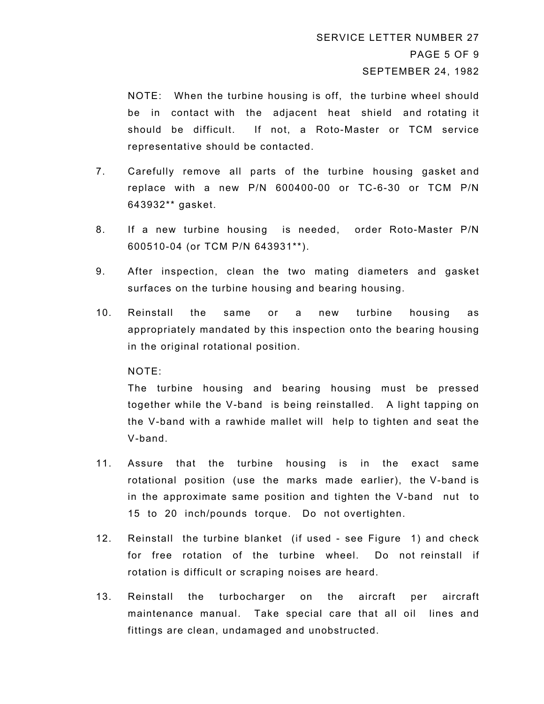NOTE: When the turbine housing is off, the turbine wheel should be in contact with the adjacent heat shield and rotating it should be difficult. If not, a Roto-Master or TCM service representative should be contacted.

- 7. Carefully remove all parts of the turbine housing gasket and replace with a new P/N 600400-00 or TC-6-30 or TCM P/N 643932\*\* gasket.
- 8. If a new turbine housing is needed, order Roto-Master P/N 600510-04 (or TCM P/N 643931\*\*).
- 9. After inspection, clean the two mating diameters and gasket surfaces on the turbine housing and bearing housing.
- 10. Reinstall the same or a new turbine housing as appropriately mandated by this inspection onto the bearing housing in the original rotational position.

## NOTE:

The turbine housing and bearing housing must be pressed together while the V-band is being reinstalled. A light tapping on the V-band with a rawhide mallet will help to tighten and seat the V-band.

- 11. Assure that the turbine housing is in the exact same rotational position (use the marks made earlier), the V-band is in the approximate same position and tighten the V-band nut to 15 to 20 inch/pounds torque. Do not overtighten.
- 12. Reinstall the turbine blanket (if used see Figure 1) and check for free rotation of the turbine wheel. Do not reinstall if rotation is difficult or scraping noises are heard.
- 13. Reinstall the turbocharger on the aircraft per aircraft maintenance manual. Take special care that all oil lines and fittings are clean, undamaged and unobstructed.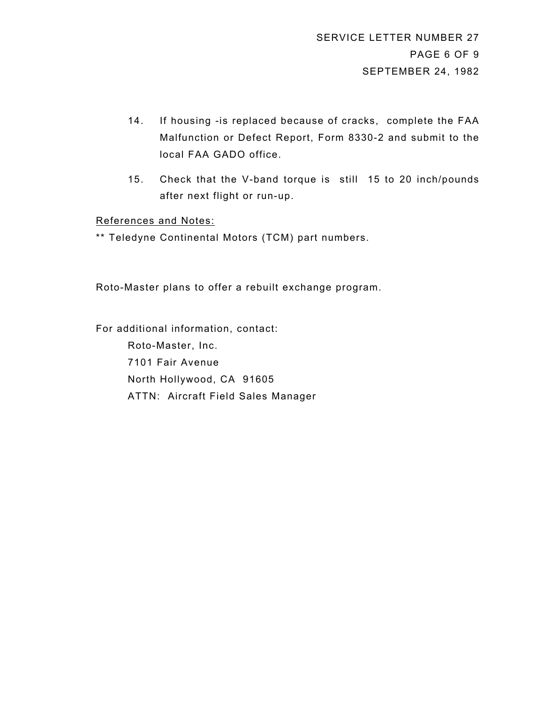- 14. If housing -is replaced because of cracks, complete the FAA Malfunction or Defect Report, Form 8330-2 and submit to the local FAA GADO office.
- 15. Check that the V-band torque is still 15 to 20 inch/pounds after next flight or run-up.

## References and Notes:

\*\* Teledyne Continental Motors (TCM) part numbers.

Roto-Master plans to offer a rebuilt exchange program.

For additional information, contact: Roto-Master, Inc. 7101 Fair Avenue North Hollywood, CA 91605 ATTN: Aircraft Field Sales Manager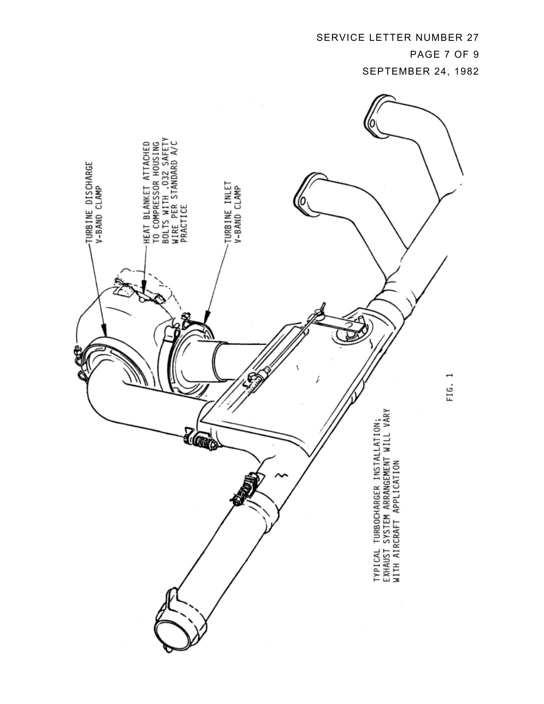SERVICE LETTER NUMBER 27 PAGE 7 OF 9

SEPTEMBER 24, 1982

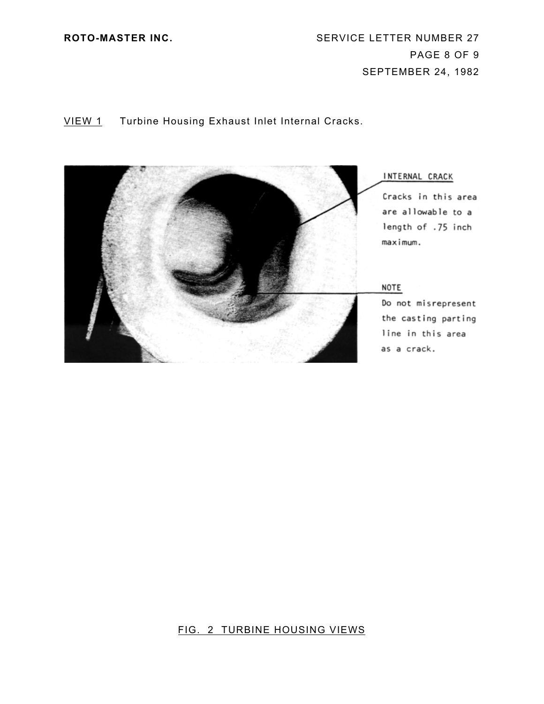**ROTO-MASTER INC.** SERVICE LETTER NUMBER 27 PAGE 8 OF 9 SEPTEMBER 24, 1982

# VIEW 1 Turbine Housing Exhaust Inlet Internal Cracks.



# FIG. 2 TURBINE HOUSING VIEWS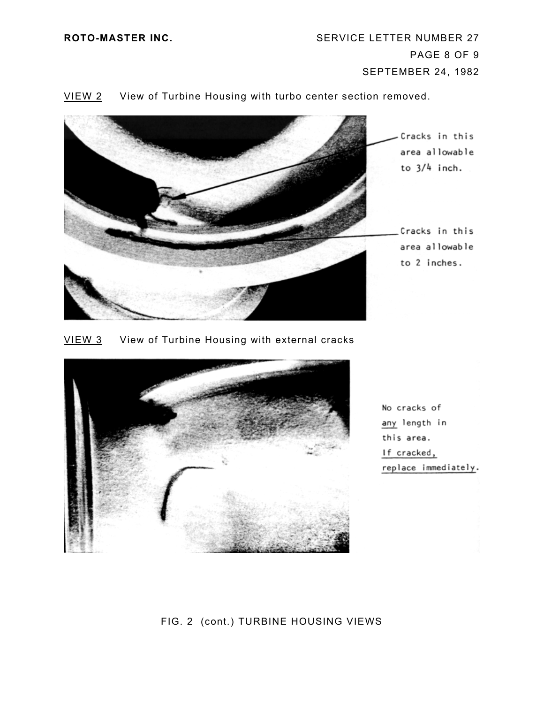

## VIEW 2 View of Turbine Housing with turbo center section removed.

VIEW 3 View of Turbine Housing with external cracks



No cracks of any length in this area. If cracked, replace immediately.

# FIG. 2 (cont.) TURBINE HOUSING VIEWS